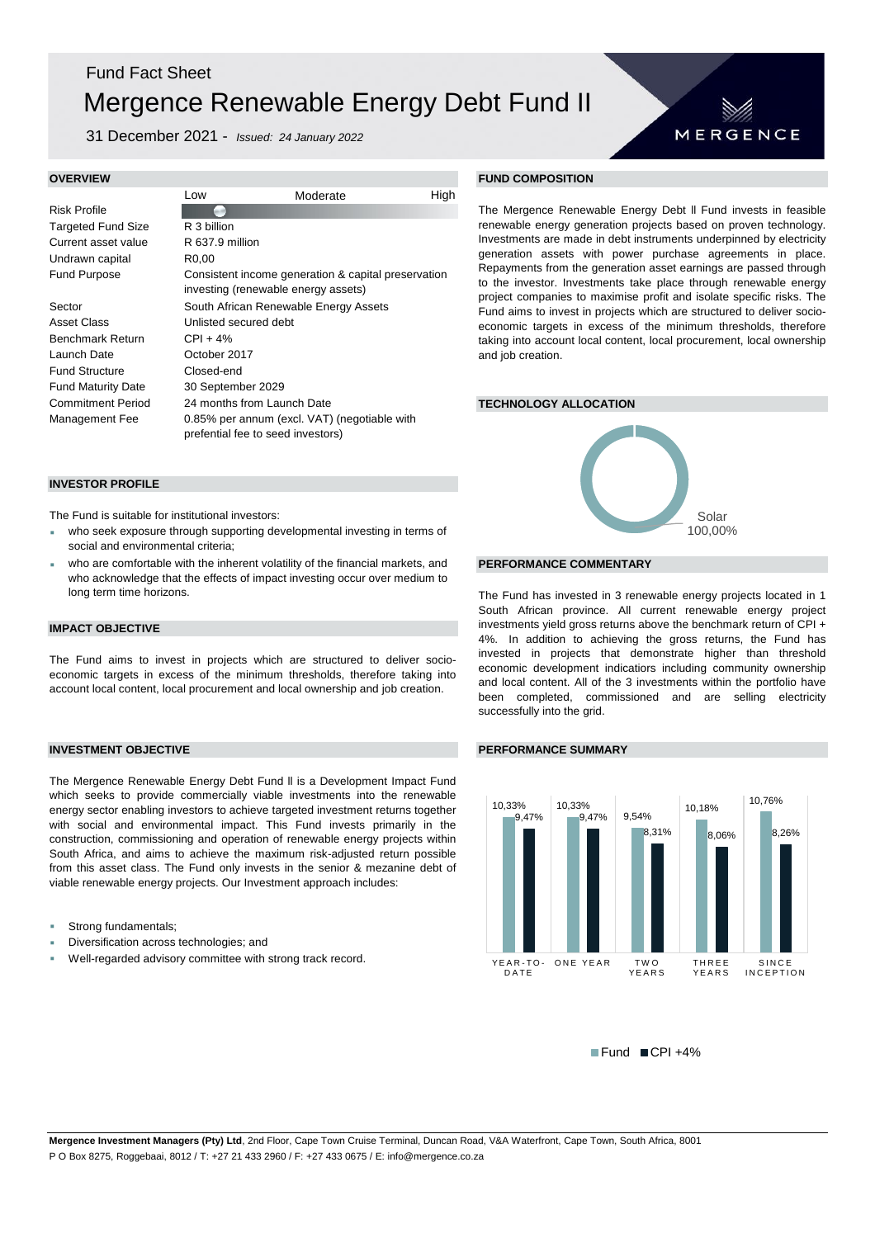## Fund Fact Sheet Mergence Renewable Energy Debt Fund II

31 December 2021 - *Issued: 24 January 2022*

### Low High Moderate Risk Profile Targeted Fund Size Current asset value R 637.9 million Undrawn capital R0,00 Fund Purpose R 3 billion

Sector South African Renewable Energy Assets Asset Class Unlisted secured debt Benchmark Return CPI + 4% Launch Date October 2017 Fund Structure Closed-end Fund Maturity Date 30 September 2029 Commitment Period 24 months from Launch Date **TECHNOLOGY ALLOCATION** Management Fee 0.85% per annum (excl. VAT) (negotiable with prefential fee to seed investors) Consistent income generation & capital preservation investing (renewable energy assets)

## **INVESTOR PROFILE**

The Fund is suitable for institutional investors:

- who seek exposure through supporting developmental investing in terms of social and environmental criteria;
- <sup>2</sup> who are comfortable with the inherent volatility of the financial markets, and **PERFORMANCE COMMENTARY** who acknowledge that the effects of impact investing occur over medium to long term time horizons.

## **IMPACT OBJECTIVE**

The Fund aims to invest in projects which are structured to deliver socioeconomic targets in excess of the minimum thresholds, therefore taking into account local content, local procurement and local ownership and job creation.

The Mergence Renewable Energy Debt Fund ll is a Development Impact Fund which seeks to provide commercially viable investments into the renewable energy sector enabling investors to achieve targeted investment returns together with social and environmental impact. This Fund invests primarily in the construction, commissioning and operation of renewable energy projects within South Africa, and aims to achieve the maximum risk-adjusted return possible from this asset class. The Fund only invests in the senior & mezanine debt of viable renewable energy projects. Our Investment approach includes:

- Strong fundamentals;
- Diversification across technologies; and
- Well-regarded advisory committee with strong track record.

## **OVERVIEW FUND COMPOSITION**

The Mergence Renewable Energy Debt ll Fund invests in feasible renewable energy generation projects based on proven technology. Investments are made in debt instruments underpinned by electricity generation assets with power purchase agreements in place. Repayments from the generation asset earnings are passed through to the investor. Investments take place through renewable energy project companies to maximise profit and isolate specific risks. The Fund aims to invest in projects which are structured to deliver socioeconomic targets in excess of the minimum thresholds, therefore taking into account local content, local procurement, local ownership and job creation.

MERGENCE



The Fund has invested in 3 renewable energy projects located in 1 South African province. All current renewable energy project investments yield gross returns above the benchmark return of CPI + 4%. In addition to achieving the gross returns, the Fund has invested in projects that demonstrate higher than threshold economic development indicatiors including community ownership and local content. All of the 3 investments within the portfolio have been completed, commissioned and are selling electricity successfully into the grid.

## **INVESTMENT OBJECTIVE PERFORMANCE SUMMARY**



 $\blacksquare$  Fund  $\blacksquare$  CPI +4%

**Mergence Investment Managers (Pty) Ltd**, 2nd Floor, Cape Town Cruise Terminal, Duncan Road, V&A Waterfront, Cape Town, South Africa, 8001 P O Box 8275, Roggebaai, 8012 / T: +27 21 433 2960 / F: +27 433 0675 / E: info@mergence.co.za